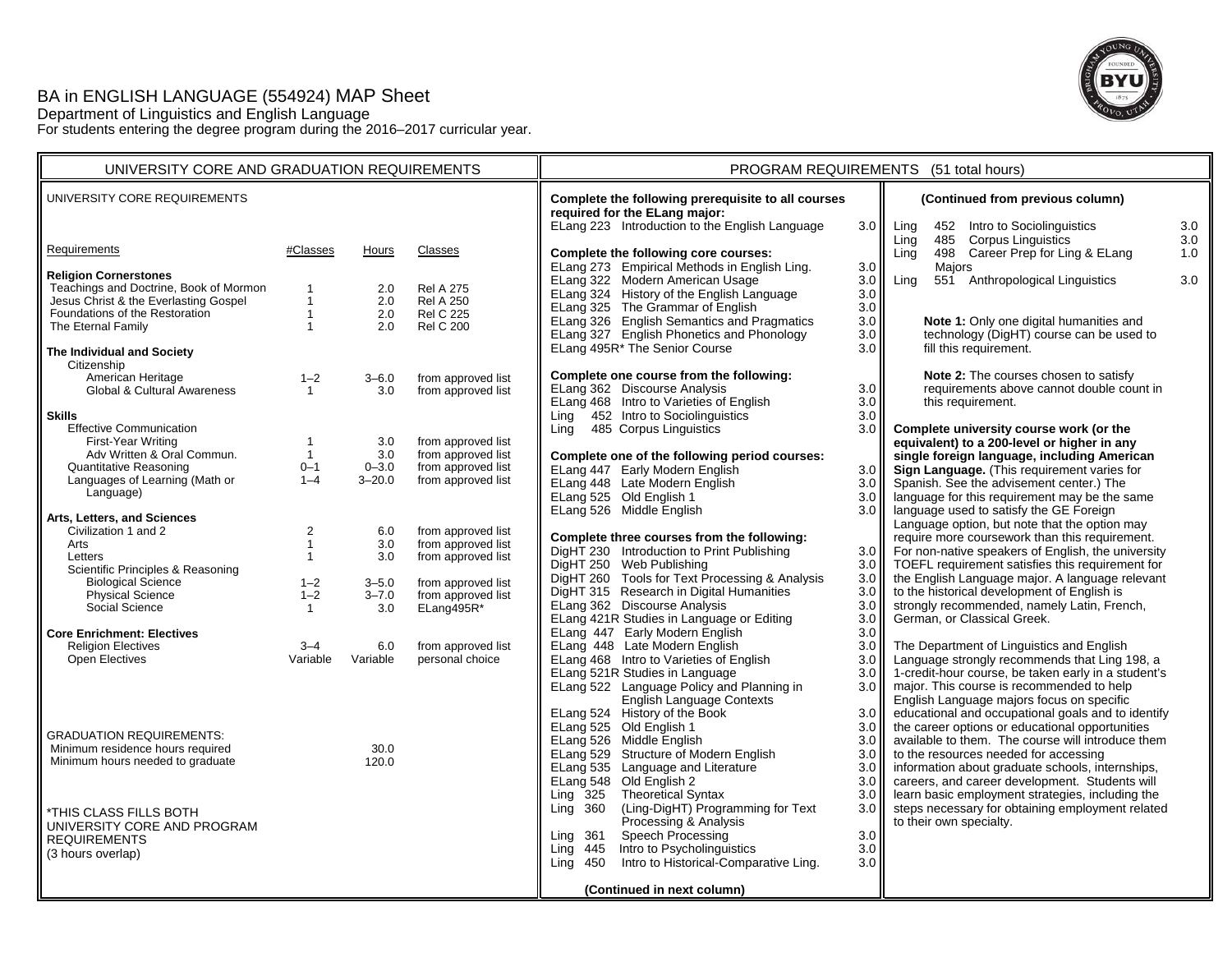# BA in ENGLISH LANGUAGE (554924) MAP Sheet Department of Linguistics and English Language For students entering the degree program during the 2016–2017 curricular year.



| UNIVERSITY CORE AND GRADUATION REQUIREMENTS                             |                                         |                  |                                          | PROGRAM REQUIREMENTS (51 total hours)                                                                                                 |                         |                                                                                                      |  |
|-------------------------------------------------------------------------|-----------------------------------------|------------------|------------------------------------------|---------------------------------------------------------------------------------------------------------------------------------------|-------------------------|------------------------------------------------------------------------------------------------------|--|
| UNIVERSITY CORE REQUIREMENTS                                            |                                         |                  |                                          | Complete the following prerequisite to all courses<br>required for the ELang major:<br>ELang 223 Introduction to the English Language | 3.0                     | (Continued from previous column)<br>Ling<br>452 Intro to Sociolinguistics<br>3.0                     |  |
| Requirements                                                            | #Classes                                | Hours            | Classes                                  |                                                                                                                                       |                         | 485 Corpus Linguistics<br>3.0<br>Ling                                                                |  |
|                                                                         |                                         |                  |                                          | Complete the following core courses:<br>ELang 273 Empirical Methods in English Ling.                                                  | 3.0                     | 498 Career Prep for Ling & ELang<br>1.0<br>Ling<br>Majors                                            |  |
| <b>Religion Cornerstones</b><br>Teachings and Doctrine, Book of Mormon  | $\mathbf{1}$                            | 2.0              | <b>Rel A 275</b>                         | ELang 322 Modern American Usage<br>ELang 324 History of the English Language                                                          | 3.0<br>$3.0\,$          | 551 Anthropological Linguistics<br>3.0<br>Ling                                                       |  |
| Jesus Christ & the Everlasting Gospel<br>Foundations of the Restoration | $\mathbf{1}$<br>$\mathbf{1}$            | 2.0<br>2.0       | <b>Rel A 250</b><br><b>Rel C 225</b>     | ELang 325 The Grammar of English                                                                                                      | 3.0                     |                                                                                                      |  |
| The Eternal Family                                                      | $\mathbf{1}$                            | 2.0              | <b>Rel C 200</b>                         | ELang 326 English Semantics and Pragmatics<br>ELang 327 English Phonetics and Phonology                                               | 3.0<br>3.0              | Note 1: Only one digital humanities and<br>technology (DigHT) course can be used to                  |  |
| The Individual and Society<br>Citizenship                               |                                         |                  |                                          | ELang 495R* The Senior Course                                                                                                         | 3.0                     | fill this requirement.                                                                               |  |
| American Heritage                                                       | $1 - 2$                                 | $3 - 6.0$        | from approved list                       | Complete one course from the following:                                                                                               |                         | Note 2: The courses chosen to satisfy                                                                |  |
| Global & Cultural Awareness                                             | $\overline{1}$                          | 3.0              | from approved list                       | ELang 362 Discourse Analysis<br>ELang 468 Intro to Varieties of English                                                               | 3.0<br>3.0 <sub>1</sub> | requirements above cannot double count in<br>this requirement.                                       |  |
| <b>Skills</b>                                                           |                                         |                  |                                          | Ling 452 Intro to Sociolinguistics                                                                                                    | 3.0                     |                                                                                                      |  |
| <b>Effective Communication</b><br>First-Year Writing                    | $\overline{1}$                          | 3.0              | from approved list                       | 485 Corpus Linguistics<br>Ling                                                                                                        | 3.0                     | Complete university course work (or the<br>equivalent) to a 200-level or higher in any               |  |
| Adv Written & Oral Commun.                                              | $\overline{1}$                          | 3.0              | from approved list                       | Complete one of the following period courses:                                                                                         |                         | single foreign language, including American                                                          |  |
| Quantitative Reasoning                                                  | $0 - 1$                                 | $0 - 3.0$        | from approved list                       | ELang 447 Early Modern English                                                                                                        | 3.0                     | Sign Language. (This requirement varies for                                                          |  |
| Languages of Learning (Math or                                          | $1 - 4$                                 | $3 - 20.0$       | from approved list                       | ELang 448 Late Modern English                                                                                                         | 3.0                     | Spanish. See the advisement center.) The                                                             |  |
| Language)                                                               |                                         |                  |                                          | ELang 525 Old English 1                                                                                                               | $3.0\,$                 | language for this requirement may be the same                                                        |  |
| Arts, Letters, and Sciences                                             |                                         |                  |                                          | ELang 526 Middle English                                                                                                              | 3.0 <sub>1</sub>        | language used to satisfy the GE Foreign<br>Language option, but note that the option may             |  |
| Civilization 1 and 2                                                    | $\overline{\mathbf{c}}$<br>$\mathbf{1}$ | 6.0              | from approved list                       | Complete three courses from the following:                                                                                            |                         | require more coursework than this requirement.                                                       |  |
| Arts<br>Letters                                                         | $\mathbf{1}$                            | 3.0<br>3.0       | from approved list<br>from approved list | DigHT 230 Introduction to Print Publishing                                                                                            | 3.0 <sub>1</sub>        | For non-native speakers of English, the university                                                   |  |
| Scientific Principles & Reasoning                                       |                                         |                  |                                          | DigHT 250 Web Publishing                                                                                                              | 3.0                     | TOEFL requirement satisfies this requirement for                                                     |  |
| <b>Biological Science</b>                                               | $1 - 2$                                 | $3 - 5.0$        | from approved list                       | DigHT 260 Tools for Text Processing & Analysis<br>DigHT 315 Research in Digital Humanities                                            | 3.0<br>3.0              | the English Language major. A language relevant<br>to the historical development of English is       |  |
| Physical Science<br>Social Science                                      | $1 - 2$<br>$\mathbf{1}$                 | $3 - 7.0$<br>3.0 | from approved list<br>ELang495R*         | ELang 362 Discourse Analysis                                                                                                          | 3.0                     | strongly recommended, namely Latin, French,                                                          |  |
|                                                                         |                                         |                  |                                          | ELang 421R Studies in Language or Editing                                                                                             | 3.0                     | German, or Classical Greek.                                                                          |  |
| <b>Core Enrichment: Electives</b>                                       |                                         |                  |                                          | ELang 447 Early Modern English                                                                                                        | 3.0                     |                                                                                                      |  |
| <b>Religion Electives</b><br>Open Electives                             | $3 - 4$<br>Variable                     | 6.0<br>Variable  | from approved list<br>personal choice    | ELang 448 Late Modern English<br>ELang 468 Intro to Varieties of English                                                              | 3.0<br>3.0              | The Department of Linguistics and English<br>Language strongly recommends that Ling 198, a           |  |
|                                                                         |                                         |                  |                                          | ELang 521R Studies in Language                                                                                                        | 3.0                     | 1-credit-hour course, be taken early in a student's                                                  |  |
|                                                                         |                                         |                  |                                          | ELang 522 Language Policy and Planning in                                                                                             | 3.0                     | major. This course is recommended to help                                                            |  |
|                                                                         |                                         |                  |                                          | English Language Contexts                                                                                                             |                         | English Language majors focus on specific                                                            |  |
|                                                                         |                                         |                  |                                          | ELang 524 History of the Book                                                                                                         | 3.0                     | educational and occupational goals and to identify                                                   |  |
| <b>GRADUATION REQUIREMENTS:</b>                                         |                                         |                  |                                          | ELang 525 Old English 1<br>ELang 526 Middle English                                                                                   | 3.0<br>3.0              | the career options or educational opportunities<br>available to them. The course will introduce them |  |
| Minimum residence hours required                                        |                                         | 30.0             |                                          | ELang 529 Structure of Modern English                                                                                                 | 3.0 <sub>1</sub>        | to the resources needed for accessing                                                                |  |
| Minimum hours needed to graduate                                        |                                         | 120.0            |                                          | ELang 535 Language and Literature                                                                                                     | 3.0                     | information about graduate schools, internships,                                                     |  |
|                                                                         |                                         |                  |                                          | ELang 548 Old English 2                                                                                                               | 3.0                     | careers, and career development. Students will                                                       |  |
|                                                                         |                                         |                  |                                          | Ling $325$<br>Theoretical Syntax<br>(Ling-DigHT) Programming for Text<br>Ling 360                                                     | 3.0<br>3.0              | learn basic employment strategies, including the<br>steps necessary for obtaining employment related |  |
| *THIS CLASS FILLS BOTH<br>UNIVERSITY CORE AND PROGRAM                   |                                         |                  |                                          | Processing & Analysis                                                                                                                 |                         | to their own specialty.                                                                              |  |
| <b>REQUIREMENTS</b>                                                     |                                         |                  |                                          | Speech Processing<br>Ling 361                                                                                                         | 3.0                     |                                                                                                      |  |
| (3 hours overlap)                                                       |                                         |                  |                                          | Intro to Psycholinguistics<br>Ling 445                                                                                                | 3.0                     |                                                                                                      |  |
|                                                                         |                                         |                  |                                          | Intro to Historical-Comparative Ling.<br>$Ling$ 450                                                                                   | 3.0                     |                                                                                                      |  |
|                                                                         |                                         |                  |                                          | (Continued in next column)                                                                                                            |                         |                                                                                                      |  |